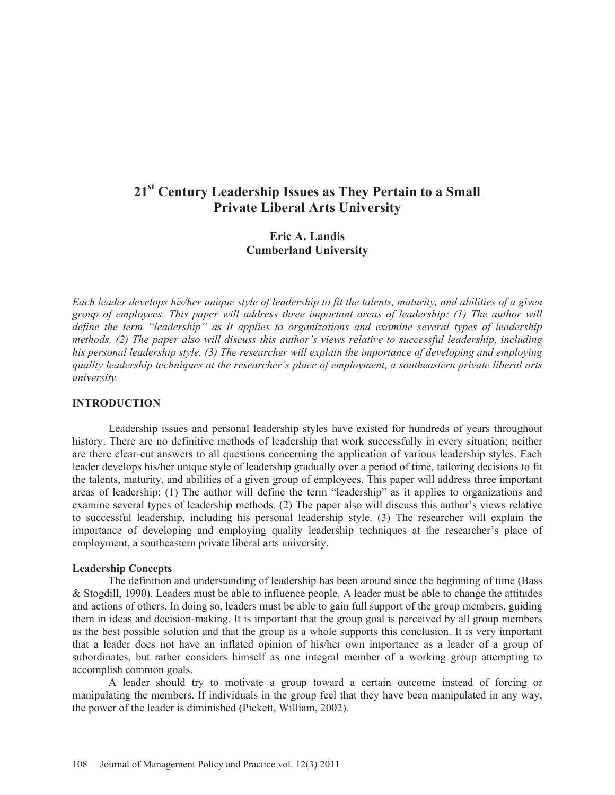# **21st Century Leadership Issues as They Pertain to a Small Private Liberal Arts University**

## **Eric A. Landis Cumberland University**

*Each leader develops his/her unique style of leadership to fit the talents, maturity, and abilities of a given group of employees. This paper will address three important areas of leadership: (1) The author will define the term "leadership" as it applies to organizations and examine several types of leadership methods. (2) The paper also will discuss this author's views relative to successful leadership, including his personal leadership style. (3) The researcher will explain the importance of developing and employing quality leadership techniques at the researcher's place of employment, a southeastern private liberal arts university.* 

#### **INTRODUCTION**

Leadership issues and personal leadership styles have existed for hundreds of years throughout history. There are no definitive methods of leadership that work successfully in every situation; neither are there clear-cut answers to all questions concerning the application of various leadership styles. Each leader develops his/her unique style of leadership gradually over a period of time, tailoring decisions to fit the talents, maturity, and abilities of a given group of employees. This paper will address three important areas of leadership: (1) The author will define the term "leadership" as it applies to organizations and examine several types of leadership methods. (2) The paper also will discuss this author's views relative to successful leadership, including his personal leadership style. (3) The researcher will explain the importance of developing and employing quality leadership techniques at the researcher's place of employment, a southeastern private liberal arts university.

#### **Leadership Concepts**

The definition and understanding of leadership has been around since the beginning of time (Bass & Stogdill, 1990). Leaders must be able to influence people. A leader must be able to change the attitudes and actions of others. In doing so, leaders must be able to gain full support of the group members, guiding them in ideas and decision-making. It is important that the group goal is perceived by all group members as the best possible solution and that the group as a whole supports this conclusion. It is very important that a leader does not have an inflated opinion of his/her own importance as a leader of a group of subordinates, but rather considers himself as one integral member of a working group attempting to accomplish common goals.

A leader should try to motivate a group toward a certain outcome instead of forcing or manipulating the members. If individuals in the group feel that they have been manipulated in any way, the power of the leader is diminished (Pickett, William, 2002).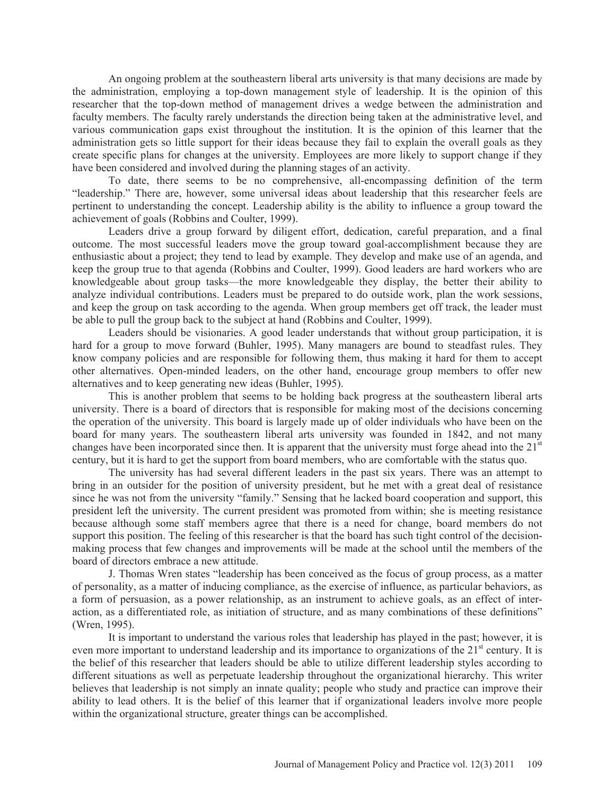An ongoing problem at the southeastern liberal arts university is that many decisions are made by the administration, employing a top-down management style of leadership. It is the opinion of this researcher that the top-down method of management drives a wedge between the administration and faculty members. The faculty rarely understands the direction being taken at the administrative level, and various communication gaps exist throughout the institution. It is the opinion of this learner that the administration gets so little support for their ideas because they fail to explain the overall goals as they create specific plans for changes at the university. Employees are more likely to support change if they have been considered and involved during the planning stages of an activity.

 To date, there seems to be no comprehensive, all-encompassing definition of the term "leadership." There are, however, some universal ideas about leadership that this researcher feels are pertinent to understanding the concept. Leadership ability is the ability to influence a group toward the achievement of goals (Robbins and Coulter, 1999).

Leaders drive a group forward by diligent effort, dedication, careful preparation, and a final outcome. The most successful leaders move the group toward goal-accomplishment because they are enthusiastic about a project; they tend to lead by example. They develop and make use of an agenda, and keep the group true to that agenda (Robbins and Coulter, 1999). Good leaders are hard workers who are knowledgeable about group tasks—the more knowledgeable they display, the better their ability to analyze individual contributions. Leaders must be prepared to do outside work, plan the work sessions, and keep the group on task according to the agenda. When group members get off track, the leader must be able to pull the group back to the subject at hand (Robbins and Coulter, 1999).

 Leaders should be visionaries. A good leader understands that without group participation, it is hard for a group to move forward (Buhler, 1995). Many managers are bound to steadfast rules. They know company policies and are responsible for following them, thus making it hard for them to accept other alternatives. Open-minded leaders, on the other hand, encourage group members to offer new alternatives and to keep generating new ideas (Buhler, 1995).

This is another problem that seems to be holding back progress at the southeastern liberal arts university. There is a board of directors that is responsible for making most of the decisions concerning the operation of the university. This board is largely made up of older individuals who have been on the board for many years. The southeastern liberal arts university was founded in 1842, and not many changes have been incorporated since then. It is apparent that the university must forge ahead into the  $21<sup>st</sup>$ century, but it is hard to get the support from board members, who are comfortable with the status quo.

The university has had several different leaders in the past six years. There was an attempt to bring in an outsider for the position of university president, but he met with a great deal of resistance since he was not from the university "family." Sensing that he lacked board cooperation and support, this president left the university. The current president was promoted from within; she is meeting resistance because although some staff members agree that there is a need for change, board members do not support this position. The feeling of this researcher is that the board has such tight control of the decisionmaking process that few changes and improvements will be made at the school until the members of the board of directors embrace a new attitude.

 J. Thomas Wren states "leadership has been conceived as the focus of group process, as a matter of personality, as a matter of inducing compliance, as the exercise of influence, as particular behaviors, as a form of persuasion, as a power relationship, as an instrument to achieve goals, as an effect of interaction, as a differentiated role, as initiation of structure, and as many combinations of these definitions" (Wren, 1995).

 It is important to understand the various roles that leadership has played in the past; however, it is even more important to understand leadership and its importance to organizations of the  $21<sup>st</sup>$  century. It is the belief of this researcher that leaders should be able to utilize different leadership styles according to different situations as well as perpetuate leadership throughout the organizational hierarchy. This writer believes that leadership is not simply an innate quality; people who study and practice can improve their ability to lead others. It is the belief of this learner that if organizational leaders involve more people within the organizational structure, greater things can be accomplished.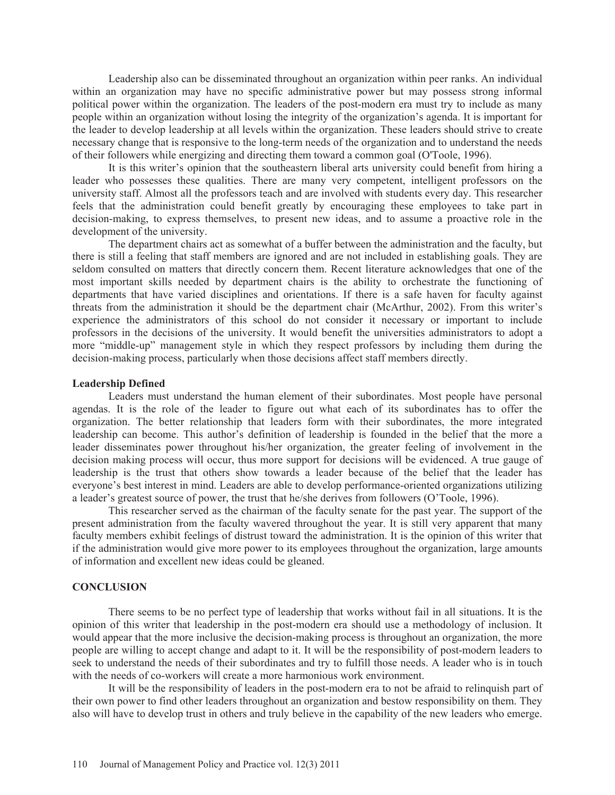Leadership also can be disseminated throughout an organization within peer ranks. An individual within an organization may have no specific administrative power but may possess strong informal political power within the organization. The leaders of the post-modern era must try to include as many people within an organization without losing the integrity of the organization's agenda. It is important for the leader to develop leadership at all levels within the organization. These leaders should strive to create necessary change that is responsive to the long-term needs of the organization and to understand the needs of their followers while energizing and directing them toward a common goal (O'Toole, 1996).

It is this writer's opinion that the southeastern liberal arts university could benefit from hiring a leader who possesses these qualities. There are many very competent, intelligent professors on the university staff. Almost all the professors teach and are involved with students every day. This researcher feels that the administration could benefit greatly by encouraging these employees to take part in decision-making, to express themselves, to present new ideas, and to assume a proactive role in the development of the university.

The department chairs act as somewhat of a buffer between the administration and the faculty, but there is still a feeling that staff members are ignored and are not included in establishing goals. They are seldom consulted on matters that directly concern them. Recent literature acknowledges that one of the most important skills needed by department chairs is the ability to orchestrate the functioning of departments that have varied disciplines and orientations. If there is a safe haven for faculty against threats from the administration it should be the department chair (McArthur, 2002). From this writer's experience the administrators of this school do not consider it necessary or important to include professors in the decisions of the university. It would benefit the universities administrators to adopt a more "middle-up" management style in which they respect professors by including them during the decision-making process, particularly when those decisions affect staff members directly.

#### **Leadership Defined**

Leaders must understand the human element of their subordinates. Most people have personal agendas. It is the role of the leader to figure out what each of its subordinates has to offer the organization. The better relationship that leaders form with their subordinates, the more integrated leadership can become. This author's definition of leadership is founded in the belief that the more a leader disseminates power throughout his/her organization, the greater feeling of involvement in the decision making process will occur, thus more support for decisions will be evidenced. A true gauge of leadership is the trust that others show towards a leader because of the belief that the leader has everyone's best interest in mind. Leaders are able to develop performance-oriented organizations utilizing a leader's greatest source of power, the trust that he/she derives from followers (O'Toole, 1996).

This researcher served as the chairman of the faculty senate for the past year. The support of the present administration from the faculty wavered throughout the year. It is still very apparent that many faculty members exhibit feelings of distrust toward the administration. It is the opinion of this writer that if the administration would give more power to its employees throughout the organization, large amounts of information and excellent new ideas could be gleaned.

### **CONCLUSION**

 There seems to be no perfect type of leadership that works without fail in all situations. It is the opinion of this writer that leadership in the post-modern era should use a methodology of inclusion. It would appear that the more inclusive the decision-making process is throughout an organization, the more people are willing to accept change and adapt to it. It will be the responsibility of post-modern leaders to seek to understand the needs of their subordinates and try to fulfill those needs. A leader who is in touch with the needs of co-workers will create a more harmonious work environment.

It will be the responsibility of leaders in the post-modern era to not be afraid to relinquish part of their own power to find other leaders throughout an organization and bestow responsibility on them. They also will have to develop trust in others and truly believe in the capability of the new leaders who emerge.